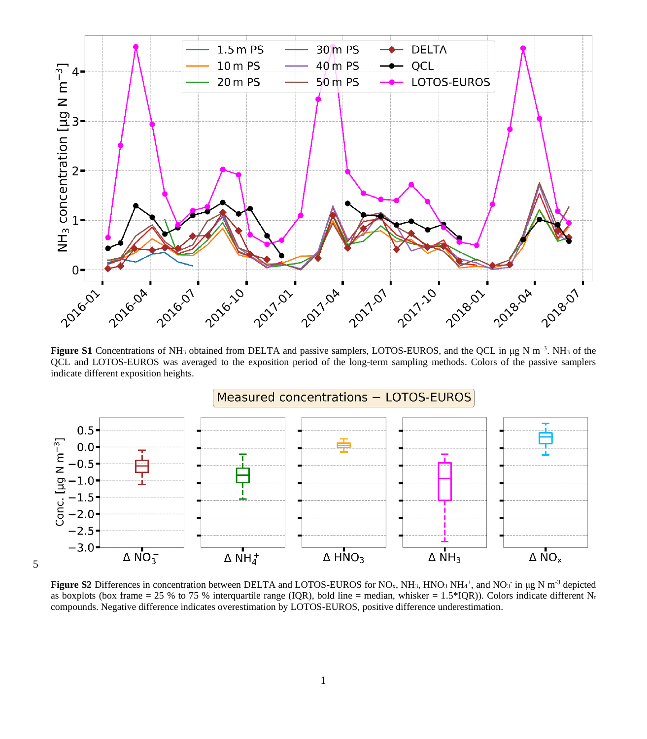

**Figure S1** Concentrations of NH<sup>3</sup> obtained from DELTA and passive samplers, LOTOS-EUROS, and the QCL in μg N m−3. NH<sup>3</sup> of the QCL and LOTOS-EUROS was averaged to the exposition period of the long-term sampling methods. Colors of the passive samplers indicate different exposition heights.



5

**Figure S2** Differences in concentration between DELTA and LOTOS-EUROS for NO<sub>x</sub>, NH<sub>3</sub>, HNO<sub>3</sub> NH<sub>4</sub>+, and NO<sub>3</sub> in µg N m<sup>-3</sup> depicted as boxplots (box frame = 25 % to 75 % interquartile range (IQR), bold line = median, whisker = 1.5\*IQR)). Colors indicate different Nr compounds. Negative difference indicates overestimation by LOTOS-EUROS, positive difference underestimation.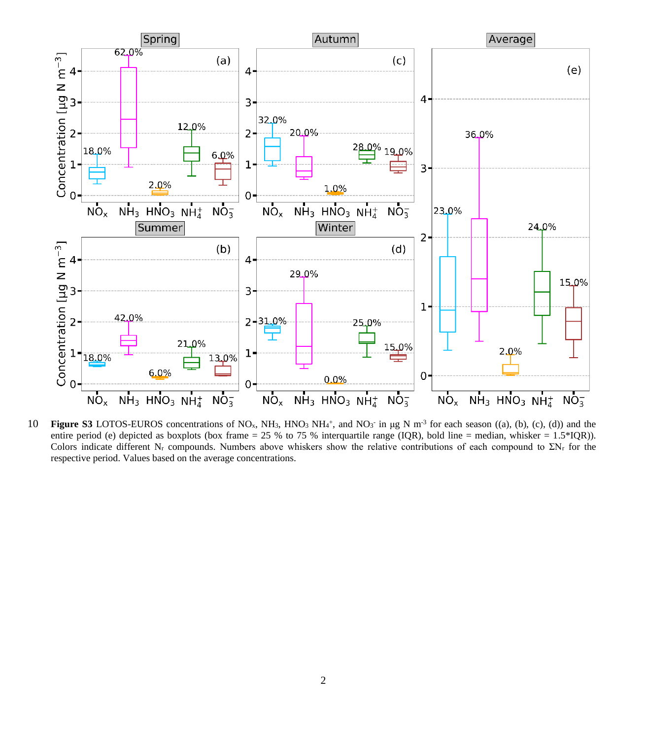

**10 Figure S3** LOTOS-EUROS concentrations of NO<sub>x</sub>, NH<sub>3</sub>, HNO<sub>3</sub> NH<sub>4</sub><sup>+</sup>, and NO<sub>3</sub> in μg N m<sup>-3</sup> for each season ((a), (b), (c), (d)) and the entire period (e) depicted as boxplots (box frame = 25 % to 75 % interquartile range (IQR), bold line = median, whisker =  $1.5*IQR$ ). Colors indicate different N<sup>r</sup> compounds. Numbers above whiskers show the relative contributions of each compound to ΣN<sup>r</sup> for the respective period. Values based on the average concentrations.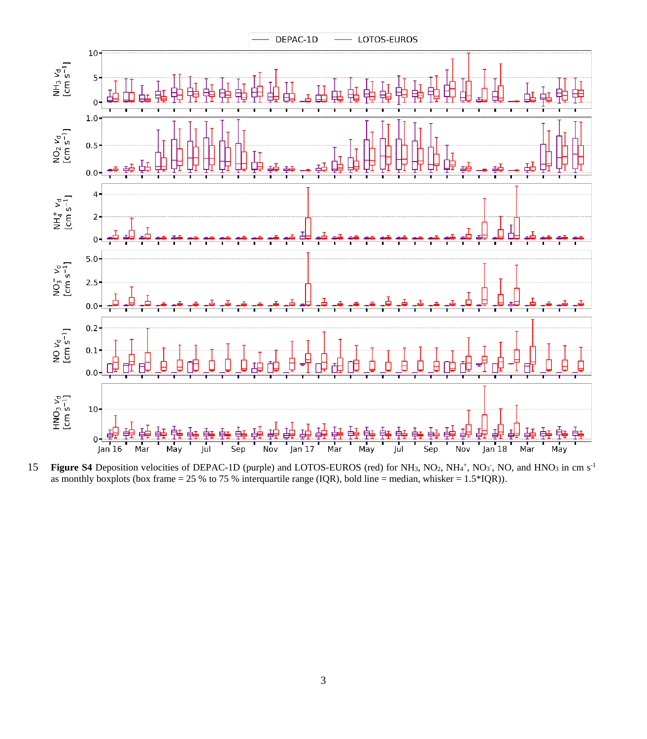

15 **Figure S4** Deposition velocities of DEPAC-1D (purple) and LOTOS-EUROS (red) for NH<sub>3</sub>, NO<sub>2</sub>, NH<sub>4</sub>+, NO<sub>3</sub><sup>-</sup>, NO<sub>3</sub>, NO<sub>3</sub> in cm s<sup>-1</sup> as monthly boxplots (box frame = 25 % to 75 % interquartile range (IQR), bold line = median, whisker = 1.5\*IQR)).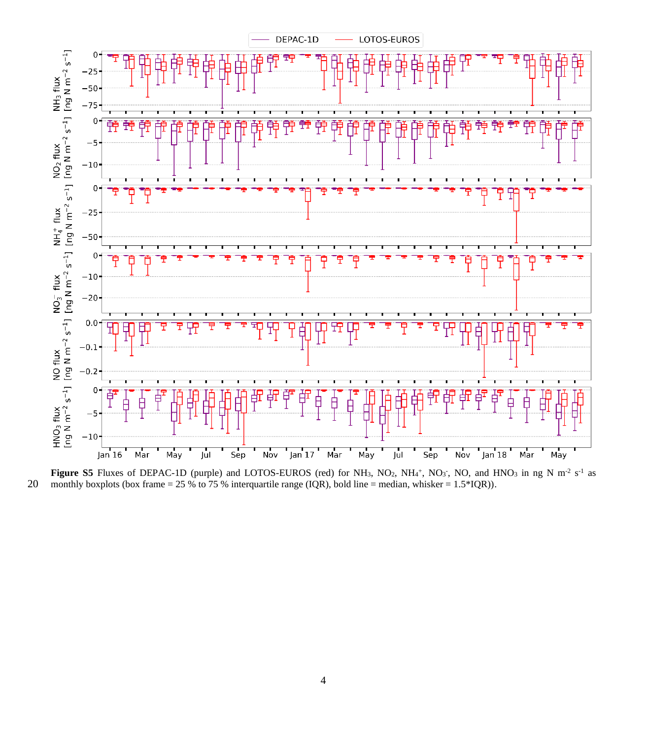

**Figure S5** Fluxes of DEPAC-1D (purple) and LOTOS-EUROS (red) for NH<sub>3</sub>, NO<sub>2</sub>, NH<sub>4</sub><sup>+</sup>, NO<sub>3</sub><sup>-</sup>, NO<sub>3</sub><sup>-</sup>, NO<sub>3</sub> in ng N m<sup>-2</sup> s<sup>-1</sup> as 20 monthly boxplots (box frame = 25 % to 75 % interquartile range (IQR), bold line = median, whisker = 1.5\*IQR)).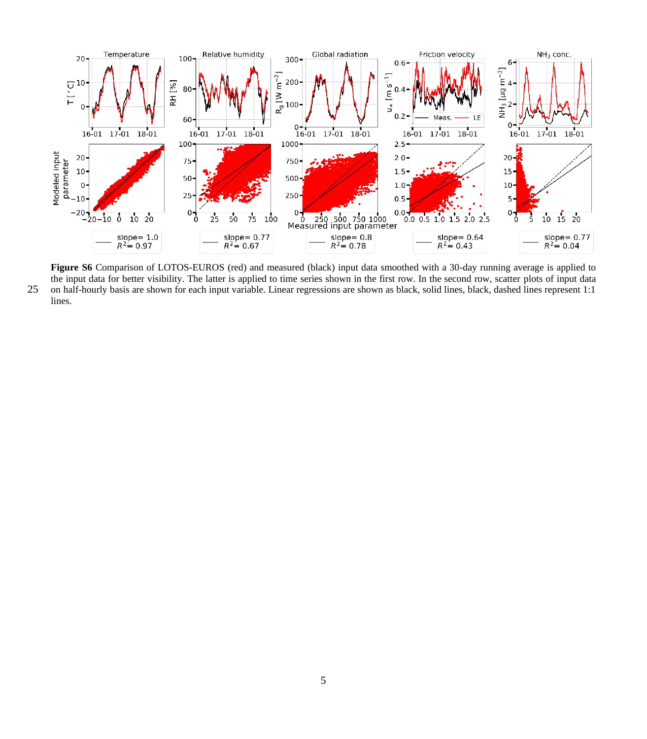

**Figure S6** Comparison of LOTOS-EUROS (red) and measured (black) input data smoothed with a 30-day running average is applied to the input data for better visibility. The latter is applied to time series shown in the first row. In the second row, scatter plots of input data 25 on half-hourly basis are shown for each input variable. Linear regressions are shown as black, solid lines, black, dashed lines represent 1:1 lines.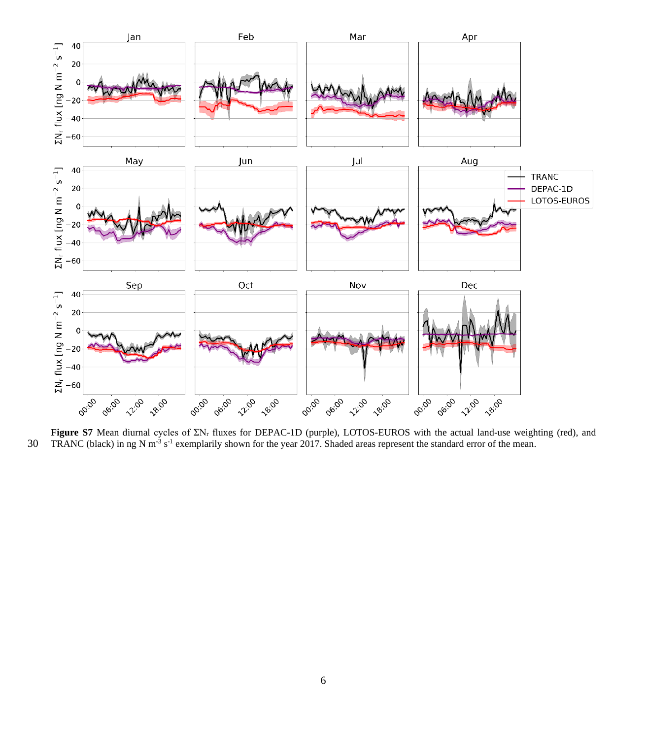

**Figure S7** Mean diurnal cycles of ΣN<sup>r</sup> fluxes for DEPAC-1D (purple), LOTOS-EUROS with the actual land-use weighting (red), and 30 TRANC (black) in ng N m<sup>-3</sup> s<sup>-1</sup> exemplarily shown for the year 2017. Shaded areas represent the standard error of the mean.